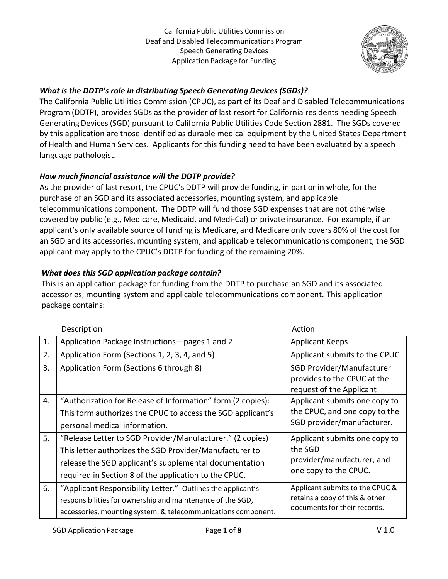

# *What is the DDTP's role in distributing Speech Generating Devices (SGDs)?*

The California Public Utilities Commission (CPUC), as part of its Deaf and Disabled Telecommunications Program (DDTP), provides SGDs as the provider of last resort for California residents needing Speech Generating Devices(SGD) pursuant to California Public Utilities Code Section 2881. The SGDs covered by this application are those identified as durable medical equipment by the United States Department of Health and Human Services. Applicants for this funding need to have been evaluated by a speech language pathologist.

# *How much financial assistance will the DDTP provide?*

As the provider of last resort, the CPUC's DDTP will provide funding, in part or in whole, for the purchase of an SGD and its associated accessories, mounting system, and applicable telecommunications component. The DDTP will fund those SGD expenses that are not otherwise covered by public (e.g., Medicare, Medicaid, and Medi‐Cal) or private insurance. For example, if an applicant's only available source of funding is Medicare, and Medicare only covers 80% of the cost for an SGD and its accessories, mounting system, and applicable telecommunications component, the SGD applicant may apply to the CPUC's DDTP for funding of the remaining 20%.

# *What does this SGD application package contain?*

This is an application package for funding from the DDTP to purchase an SGD and its associated accessories, mounting system and applicable telecommunications component. This application package contains:

|    | Description                                                                                                                                                                                                                             | Action                                                                                            |
|----|-----------------------------------------------------------------------------------------------------------------------------------------------------------------------------------------------------------------------------------------|---------------------------------------------------------------------------------------------------|
| 1. | Application Package Instructions-pages 1 and 2                                                                                                                                                                                          | <b>Applicant Keeps</b>                                                                            |
| 2. | Application Form (Sections 1, 2, 3, 4, and 5)                                                                                                                                                                                           | Applicant submits to the CPUC                                                                     |
| 3. | Application Form (Sections 6 through 8)                                                                                                                                                                                                 | <b>SGD Provider/Manufacturer</b><br>provides to the CPUC at the<br>request of the Applicant       |
| 4. | "Authorization for Release of Information" form (2 copies):<br>This form authorizes the CPUC to access the SGD applicant's<br>personal medical information.                                                                             | Applicant submits one copy to<br>the CPUC, and one copy to the<br>SGD provider/manufacturer.      |
| 5. | "Release Letter to SGD Provider/Manufacturer." (2 copies)<br>This letter authorizes the SGD Provider/Manufacturer to<br>release the SGD applicant's supplemental documentation<br>required in Section 8 of the application to the CPUC. | Applicant submits one copy to<br>the SGD<br>provider/manufacturer, and<br>one copy to the CPUC.   |
| 6. | "Applicant Responsibility Letter." Outlines the applicant's<br>responsibilities for ownership and maintenance of the SGD,<br>accessories, mounting system, & telecommunications component.                                              | Applicant submits to the CPUC &<br>retains a copy of this & other<br>documents for their records. |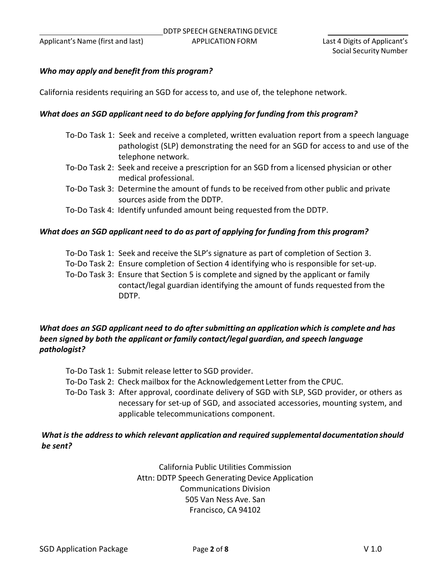### *Who may apply and benefit from this program?*

California residents requiring an SGD for access to, and use of, the telephone network.

#### *What does an SGD applicant need to do before applying for funding from this program?*

- To‐Do Task 1: Seek and receive a completed, written evaluation report from a speech language pathologist (SLP) demonstrating the need for an SGD for access to and use of the telephone network.
- To‐Do Task 2: Seek and receive a prescription for an SGD from a licensed physician or other medical professional.
- To‐Do Task 3: Determine the amount of funds to be received from other public and private sources aside from the DDTP.
- To‐Do Task 4: Identify unfunded amount being requested from the DDTP.

#### *What does an SGD applicant need to do as part of applying for funding from this program?*

- To‐Do Task 1: Seek and receive the SLP's signature as part of completion of Section 3.
- To‐Do Task 2: Ensure completion of Section 4 identifying who is responsible for set‐up.
- To‐Do Task 3: Ensure that Section 5 is complete and signed by the applicant or family contact/legal guardian identifying the amount of funds requested from the DDTP.

### *What does an SGD applicant need to do after submitting an application which is complete and has been signed by both the applicant or family contact/legal guardian, and speech language pathologist?*

To‐Do Task 1: Submit release letter to SGD provider.

To‐Do Task 2: Check mailbox for the Acknowledgement Letter from the CPUC.

To‐Do Task 3: After approval, coordinate delivery of SGD with SLP, SGD provider, or others as necessary for set‐up of SGD, and associated accessories, mounting system, and applicable telecommunications component.

## *What is the addressto which relevant application and required supplemental documentation should be sent?*

California Public Utilities Commission Attn: DDTP Speech Generating Device Application Communications Division 505 Van Ness Ave. San Francisco, CA 94102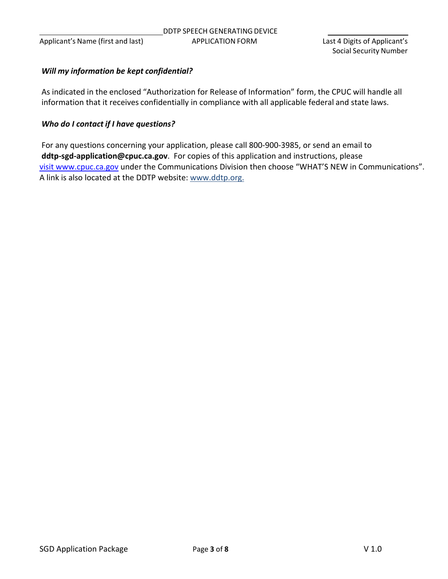### *Will my information be kept confidential?*

As indicated in the enclosed "Authorization for Release of Information" form, the CPUC will handle all information that it receives confidentially in compliance with all applicable federal and state laws.

#### *Who do I contact if I have questions?*

For any questions concerning your application, please call 800‐900‐3985, or send an email to **ddtp‐sgd‐application@cpuc.ca.gov**. For copies of this application and instructions, please visit www.cpuc.ca.gov under the Communications Division then choose "WHAT'S NEW in Communications". A link is also located at the DDTP website: www.ddtp.org.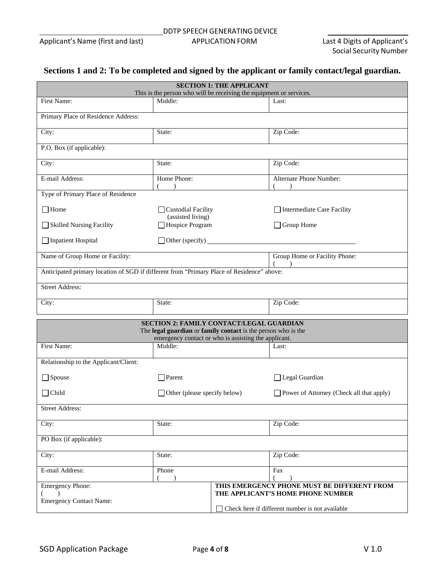# **Sections 1 and 2: To be completed and signed by the applicant or family contact/legal guardian.**

| <b>SECTION 1: THE APPLICANT</b><br>This is the person who will be receiving the equipment or services.    |                                                                 |  |                                             |  |  |
|-----------------------------------------------------------------------------------------------------------|-----------------------------------------------------------------|--|---------------------------------------------|--|--|
| First Name:                                                                                               | Middle:                                                         |  | Last:                                       |  |  |
|                                                                                                           |                                                                 |  |                                             |  |  |
| Primary Place of Residence Address:                                                                       |                                                                 |  |                                             |  |  |
| City:<br>State:                                                                                           |                                                                 |  | Zip Code:                                   |  |  |
| P.O. Box (if applicable):                                                                                 |                                                                 |  |                                             |  |  |
| City:                                                                                                     | State:                                                          |  | Zip Code:                                   |  |  |
| E-mail Address:                                                                                           | Home Phone:                                                     |  | Alternate Phone Number:                     |  |  |
| Type of Primary Place of Residence                                                                        | $\lambda$                                                       |  |                                             |  |  |
| $\Box$ Home                                                                                               |                                                                 |  | Intermediate Care Facility                  |  |  |
|                                                                                                           | Custodial Facility<br>(assisted living)                         |  |                                             |  |  |
| Skilled Nursing Facility                                                                                  | Hospice Program                                                 |  | $\Box$ Group Home                           |  |  |
| Inpatient Hospital                                                                                        |                                                                 |  |                                             |  |  |
| Name of Group Home or Facility:                                                                           |                                                                 |  | Group Home or Facility Phone:               |  |  |
| Anticipated primary location of SGD if different from "Primary Place of Residence" above:                 |                                                                 |  |                                             |  |  |
| <b>Street Address:</b>                                                                                    |                                                                 |  |                                             |  |  |
| City:                                                                                                     | State:                                                          |  | Zip Code:                                   |  |  |
|                                                                                                           |                                                                 |  |                                             |  |  |
| SECTION 2: FAMILY CONTACT/LEGAL GUARDIAN<br>The legal guardian or family contact is the person who is the |                                                                 |  |                                             |  |  |
|                                                                                                           |                                                                 |  |                                             |  |  |
| First Name:                                                                                               | emergency contact or who is assisting the applicant.<br>Middle: |  |                                             |  |  |
|                                                                                                           |                                                                 |  | Last:                                       |  |  |
| Relationship to the Applicant/Client:                                                                     |                                                                 |  |                                             |  |  |
| $\Box$ Spouse                                                                                             | $\Box$ Parent                                                   |  | Legal Guardian                              |  |  |
| $\Box$ Child                                                                                              | $\Box$ Other (please specify below)                             |  | Power of Attorney (Check all that apply)    |  |  |
| <b>Street Address:</b>                                                                                    |                                                                 |  |                                             |  |  |
| City:                                                                                                     | State:                                                          |  | Zip Code:                                   |  |  |
| PO Box (if applicable):                                                                                   |                                                                 |  |                                             |  |  |
| City:                                                                                                     | State:                                                          |  | Zip Code:                                   |  |  |
| E-mail Address:                                                                                           | Phone                                                           |  | Fax                                         |  |  |
| <b>Emergency Phone:</b>                                                                                   |                                                                 |  | THIS EMERGENCY PHONE MUST BE DIFFERENT FROM |  |  |
| $\lambda$<br><b>Emergency Contact Name:</b>                                                               |                                                                 |  | THE APPLICANT'S HOME PHONE NUMBER           |  |  |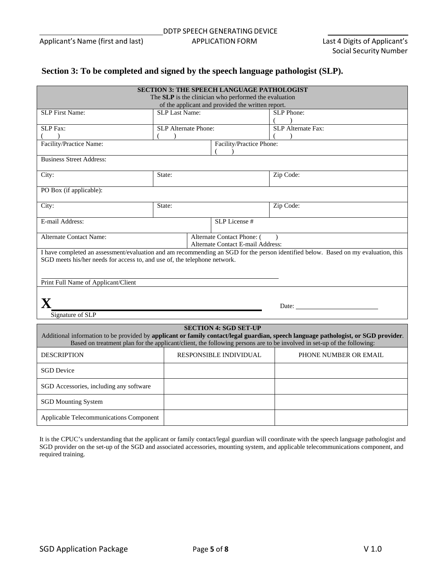## **Section 3: To be completed and signed by the speech language pathologist (SLP).**

| <b>SECTION 3: THE SPEECH LANGUAGE PATHOLOGIST</b><br>The SLP is the clinician who performed the evaluation<br>of the applicant and provided the written report.                                                                                                                              |                                                                 |                               |                                 |  |
|----------------------------------------------------------------------------------------------------------------------------------------------------------------------------------------------------------------------------------------------------------------------------------------------|-----------------------------------------------------------------|-------------------------------|---------------------------------|--|
| <b>SLP</b> First Name:                                                                                                                                                                                                                                                                       | <b>SLP Last Name:</b><br><b>SLP</b> Phone:                      |                               |                                 |  |
| <b>SLP</b> Fax:<br>$\lambda$                                                                                                                                                                                                                                                                 | SLP Alternate Phone:<br>$\lambda$                               |                               | SLP Alternate Fax:<br>$\lambda$ |  |
| Facility/Practice Name:                                                                                                                                                                                                                                                                      |                                                                 | Facility/Practice Phone:      |                                 |  |
| <b>Business Street Address:</b>                                                                                                                                                                                                                                                              |                                                                 |                               |                                 |  |
| City:                                                                                                                                                                                                                                                                                        | State:                                                          |                               | Zip Code:                       |  |
| PO Box (if applicable):                                                                                                                                                                                                                                                                      |                                                                 |                               |                                 |  |
| City:                                                                                                                                                                                                                                                                                        | State:                                                          |                               | Zip Code:                       |  |
| E-mail Address:                                                                                                                                                                                                                                                                              |                                                                 | SLP License #                 |                                 |  |
| <b>Alternate Contact Name:</b>                                                                                                                                                                                                                                                               | Alternate Contact Phone: (<br>Alternate Contact E-mail Address: |                               |                                 |  |
| I have completed an assessment/evaluation and am recommending an SGD for the person identified below. Based on my evaluation, this<br>SGD meets his/her needs for access to, and use of, the telephone network.<br>Print Full Name of Applicant/Client                                       |                                                                 |                               |                                 |  |
| Signature of SLP                                                                                                                                                                                                                                                                             |                                                                 |                               |                                 |  |
| <b>SECTION 4: SGD SET-UP</b><br>Additional information to be provided by applicant or family contact/legal guardian, speech language pathologist, or SGD provider.<br>Based on treatment plan for the applicant/client, the following persons are to be involved in set-up of the following: |                                                                 |                               |                                 |  |
| <b>DESCRIPTION</b>                                                                                                                                                                                                                                                                           |                                                                 | <b>RESPONSIBLE INDIVIDUAL</b> | PHONE NUMBER OR EMAIL           |  |
| <b>SGD</b> Device                                                                                                                                                                                                                                                                            |                                                                 |                               |                                 |  |
| SGD Accessories, including any software                                                                                                                                                                                                                                                      |                                                                 |                               |                                 |  |
| <b>SGD Mounting System</b>                                                                                                                                                                                                                                                                   |                                                                 |                               |                                 |  |
| Applicable Telecommunications Component                                                                                                                                                                                                                                                      |                                                                 |                               |                                 |  |

It is the CPUC's understanding that the applicant or family contact/legal guardian will coordinate with the speech language pathologist and SGD provider on the set-up of the SGD and associated accessories, mounting system, and applicable telecommunications component, and required training.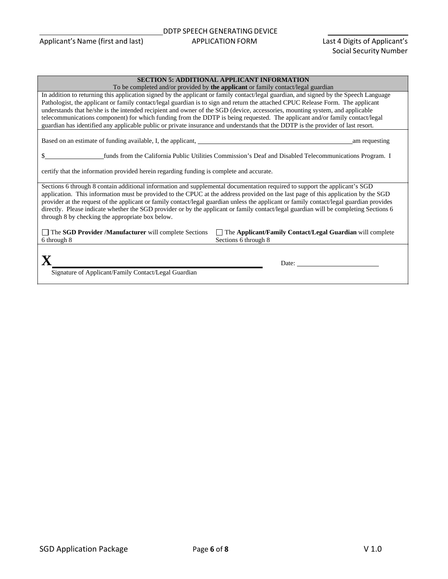| <b>SECTION 5: ADDITIONAL APPLICANT INFORMATION</b>                                                                                                                                                                                                                                                                                                                                                                                                                                                                                                                                                                                                                          |  |  |
|-----------------------------------------------------------------------------------------------------------------------------------------------------------------------------------------------------------------------------------------------------------------------------------------------------------------------------------------------------------------------------------------------------------------------------------------------------------------------------------------------------------------------------------------------------------------------------------------------------------------------------------------------------------------------------|--|--|
| To be completed and/or provided by the applicant or family contact/legal guardian                                                                                                                                                                                                                                                                                                                                                                                                                                                                                                                                                                                           |  |  |
| In addition to returning this application signed by the applicant or family contact/legal guardian, and signed by the Speech Language<br>Pathologist, the applicant or family contact/legal guardian is to sign and return the attached CPUC Release Form. The applicant<br>understands that he/she is the intended recipient and owner of the SGD (device, accessories, mounting system, and applicable<br>telecommunications component) for which funding from the DDTP is being requested. The applicant and/or family contact/legal<br>guardian has identified any applicable public or private insurance and understands that the DDTP is the provider of last resort. |  |  |
| Based on an estimate of funding available, I, the applicant,<br>am requesting                                                                                                                                                                                                                                                                                                                                                                                                                                                                                                                                                                                               |  |  |
| funds from the California Public Utilities Commission's Deaf and Disabled Telecommunications Program. I                                                                                                                                                                                                                                                                                                                                                                                                                                                                                                                                                                     |  |  |
| certify that the information provided herein regarding funding is complete and accurate.                                                                                                                                                                                                                                                                                                                                                                                                                                                                                                                                                                                    |  |  |
| Sections 6 through 8 contain additional information and supplemental documentation required to support the applicant's SGD<br>application. This information must be provided to the CPUC at the address provided on the last page of this application by the SGD<br>provider at the request of the applicant or family contact/legal guardian unless the applicant or family contact/legal guardian provides<br>directly. Please indicate whether the SGD provider or by the applicant or family contact/legal guardian will be completing Sections 6<br>through 8 by checking the appropriate box below.                                                                   |  |  |
| $\Box$ The SGD Provider /Manufacturer will complete Sections<br>$\Box$ The Applicant/Family Contact/Legal Guardian will complete<br>6 through 8<br>Sections 6 through 8                                                                                                                                                                                                                                                                                                                                                                                                                                                                                                     |  |  |
| Date: $\qquad \qquad \qquad$<br>Signature of Applicant/Family Contact/Legal Guardian                                                                                                                                                                                                                                                                                                                                                                                                                                                                                                                                                                                        |  |  |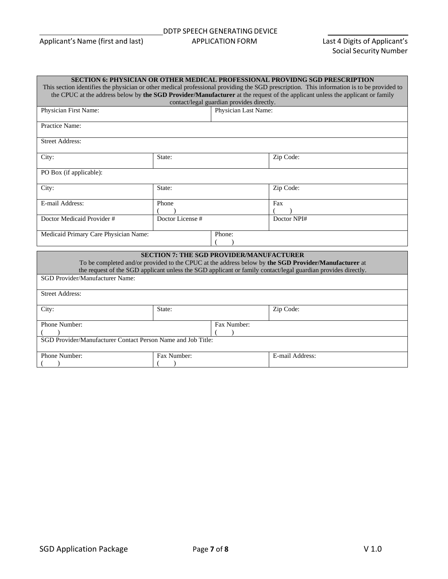#### DDTP SPEECH GENERATING DEVICE Applicant's Name (first and last) APPLICATION FORM Last 4 Digits of Applicant's

| <b>SECTION 6: PHYSICIAN OR OTHER MEDICAL PROFESSIONAL PROVIDNG SGD PRESCRIPTION</b>                                                                                                                                                                                        |                                |        |                      |  |  |  |  |
|----------------------------------------------------------------------------------------------------------------------------------------------------------------------------------------------------------------------------------------------------------------------------|--------------------------------|--------|----------------------|--|--|--|--|
| This section identifies the physician or other medical professional providing the SGD prescription. This information is to be provided to<br>the CPUC at the address below by the SGD Provider/Manufacturer at the request of the applicant unless the applicant or family |                                |        |                      |  |  |  |  |
| contact/legal guardian provides directly.                                                                                                                                                                                                                                  |                                |        |                      |  |  |  |  |
| Physician First Name:                                                                                                                                                                                                                                                      |                                |        | Physician Last Name: |  |  |  |  |
| Practice Name:                                                                                                                                                                                                                                                             |                                |        |                      |  |  |  |  |
| <b>Street Address:</b>                                                                                                                                                                                                                                                     |                                |        |                      |  |  |  |  |
| City:                                                                                                                                                                                                                                                                      | State:                         |        | Zip Code:            |  |  |  |  |
| PO Box (if applicable):                                                                                                                                                                                                                                                    |                                |        |                      |  |  |  |  |
| City:                                                                                                                                                                                                                                                                      | Zip Code:<br>State:            |        |                      |  |  |  |  |
| E-mail Address:                                                                                                                                                                                                                                                            | Phone                          |        | Fax                  |  |  |  |  |
| Doctor Medicaid Provider#                                                                                                                                                                                                                                                  | Doctor License #               |        | Doctor NPI#          |  |  |  |  |
| Medicaid Primary Care Physician Name:                                                                                                                                                                                                                                      |                                | Phone: |                      |  |  |  |  |
| <b>SECTION 7: THE SGD PROVIDER/MANUFACTURER</b><br>To be completed and/or provided to the CPUC at the address below by the SGD Provider/Manufacturer at<br>the request of the SGD applicant unless the SGD applicant or family contact/legal guardian provides directly.   |                                |        |                      |  |  |  |  |
| <b>SGD Provider/Manufacturer Name:</b>                                                                                                                                                                                                                                     |                                |        |                      |  |  |  |  |
| <b>Street Address:</b>                                                                                                                                                                                                                                                     |                                |        |                      |  |  |  |  |
| City:                                                                                                                                                                                                                                                                      | State:                         |        | Zip Code:            |  |  |  |  |
| Phone Number:<br>Fax Number:                                                                                                                                                                                                                                               |                                |        |                      |  |  |  |  |
| SGD Provider/Manufacturer Contact Person Name and Job Title:                                                                                                                                                                                                               |                                |        |                      |  |  |  |  |
| Phone Number:                                                                                                                                                                                                                                                              | Fax Number:<br>E-mail Address: |        |                      |  |  |  |  |